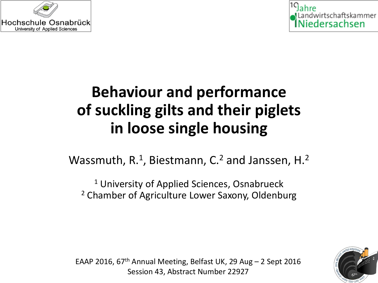



# **Behaviour and performance of suckling gilts and their piglets in loose single housing**

Wassmuth,  $R<sup>1</sup>$ , Biestmann, C.<sup>2</sup> and Janssen, H.<sup>2</sup>

<sup>1</sup> University of Applied Sciences, Osnabrueck <sup>2</sup> Chamber of Agriculture Lower Saxony, Oldenburg



EAAP 2016, 67<sup>th</sup> Annual Meeting, Belfast UK, 29 Aug  $-$  2 Sept 2016 Session 43, Abstract Number 22927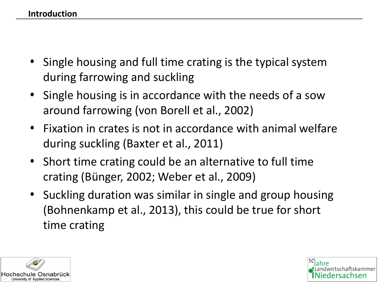- Single housing and full time crating is the typical system during farrowing and suckling
- Single housing is in accordance with the needs of a sow around farrowing (von Borell et al., 2002)
- Fixation in crates is not in accordance with animal welfare during suckling (Baxter et al., 2011)
- Short time crating could be an alternative to full time crating (Bünger, 2002; Weber et al., 2009)
- Suckling duration was similar in single and group housing (Bohnenkamp et al., 2013), this could be true for short time crating



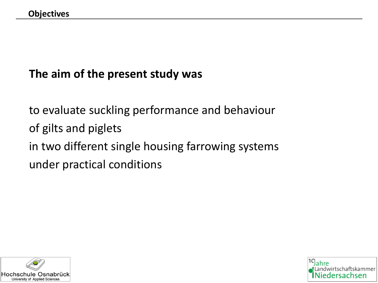#### **The aim of the present study was**

to evaluate suckling performance and behaviour of gilts and piglets in two different single housing farrowing systems under practical conditions



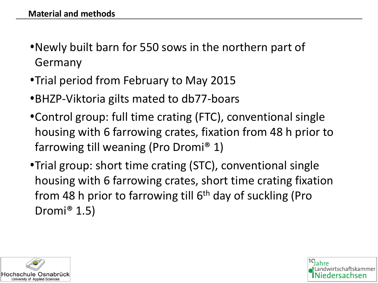- •Newly built barn for 550 sows in the northern part of Germany
- Trial period from February to May 2015
- •BHZP-Viktoria gilts mated to db77-boars
- •Control group: full time crating (FTC), conventional single housing with 6 farrowing crates, fixation from 48 h prior to farrowing till weaning (Pro Dromi® 1)
- Trial group: short time crating (STC), conventional single housing with 6 farrowing crates, short time crating fixation from 48 h prior to farrowing till  $6<sup>th</sup>$  day of suckling (Pro Dromi® 1.5)



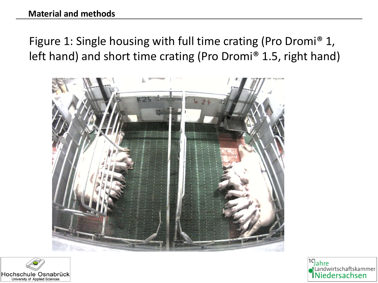## Figure 1: Single housing with full time crating (Pro Dromi® 1, left hand) and short time crating (Pro Dromi® 1.5, right hand)





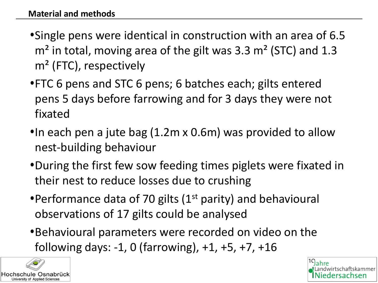- Single pens were identical in construction with an area of 6.5  $m<sup>2</sup>$  in total, moving area of the gilt was 3.3 m<sup>2</sup> (STC) and 1.3 m² (FTC), respectively
- FTC 6 pens and STC 6 pens; 6 batches each; gilts entered pens 5 days before farrowing and for 3 days they were not fixated
- In each pen a jute bag (1.2m x 0.6m) was provided to allow nest-building behaviour
- •During the first few sow feeding times piglets were fixated in their nest to reduce losses due to crushing
- Performance data of 70 gilts ( $1<sup>st</sup>$  parity) and behavioural observations of 17 gilts could be analysed
- •Behavioural parameters were recorded on video on the following days: -1, 0 (farrowing), +1, +5, +7, +16



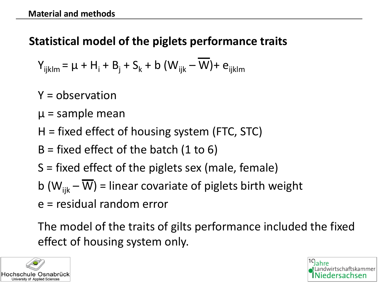#### **Statistical model of the piglets performance traits**

$$
Y_{ijklm} = \mu + H_i + B_j + S_k + b (W_{ijk} - \overline{W}) + e_{ijklm}
$$

Y = observation

- $\mu$  = sample mean
- H = fixed effect of housing system (FTC, STC)
- $B =$  fixed effect of the batch (1 to 6)
- S = fixed effect of the piglets sex (male, female)

b ( $W_{ijk} - \overline{W}$ ) = linear covariate of piglets birth weight

e = residual random error

The model of the traits of gilts performance included the fixed effect of housing system only.



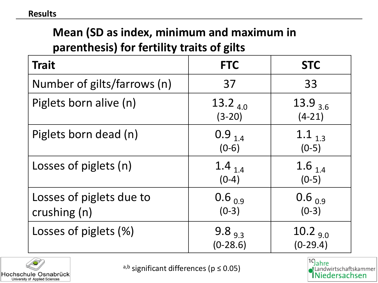#### **Mean (SD as index, minimum and maximum in parenthesis) for fertility traits of gilts**

| <b>Trait</b>                             | <b>FTC</b>                      | <b>STC</b>                   |
|------------------------------------------|---------------------------------|------------------------------|
| Number of gilts/farrows (n)              | 37                              | 33                           |
| Piglets born alive (n)                   | 13.2 $_{4.0}$<br>$(3-20)$       | $13.9_{3.6}$<br>$(4-21)$     |
| Piglets born dead (n)                    | $0.9$ <sub>1.4</sub><br>$(0-6)$ | 1.1 $1.3$<br>$(0-5)$         |
| Losses of piglets (n)                    | 1.4 $_{1.4}$<br>$(0-4)$         | 1.6 $_{1.4}$<br>$(0-5)$      |
| Losses of piglets due to<br>crushing (n) | $0.6_{0.9}$<br>$(0-3)$          | $0.6_{0.9}$<br>$(0-3)$       |
| Losses of piglets (%)                    | 9.8 $_{9.3}$<br>$(0-28.6)$      | $10.2_{\,9.0}$<br>$(0-29.4)$ |



a,b significant differences ( $p \le 0.05$ )

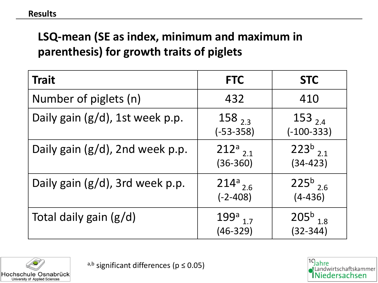## **LSQ-mean (SE as index, minimum and maximum in parenthesis) for growth traits of piglets**

| <b>Trait</b>                    | <b>FTC</b>                             | <b>STC</b>                               |
|---------------------------------|----------------------------------------|------------------------------------------|
| Number of piglets (n)           | 432                                    | 410                                      |
| Daily gain (g/d), 1st week p.p. | $158_{2,3}$<br>$(-53 - 358)$           | $153_{2.4}$<br>$(-100-333)$              |
| Daily gain (g/d), 2nd week p.p. | $212^a$ <sub>2.1</sub><br>$(36 - 360)$ | $223^{b}$ <sub>2.1</sub><br>$(34 - 423)$ |
| Daily gain (g/d), 3rd week p.p. | $214a_{2.6}$<br>$(-2 - 408)$           | $225^{b}$ <sub>2.6</sub><br>$(4-436)$    |
| Total daily gain (g/d)          | $199a_{1.7}$<br>$(46-329)$             | $205^{b}$ <sub>1.8</sub><br>$(32 - 344)$ |



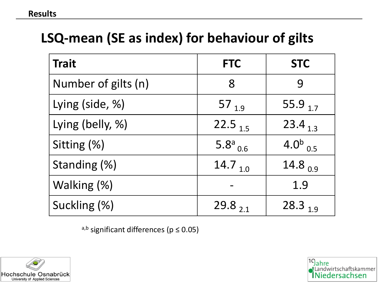# **LSQ-mean (SE as index) for behaviour of gilts**

| <b>Trait</b>        | <b>FTC</b>                | <b>STC</b>     |
|---------------------|---------------------------|----------------|
| Number of gilts (n) | 8                         | 9              |
| Lying (side, %)     | 57 <sub>1.9</sub>         | 55.9 $1.7$     |
| Lying (belly, %)    | 22.5 $1.5$                | 23.4 $13$      |
| Sitting (%)         | 5.8 $^{a}$ <sub>0.6</sub> | 4.0 $^{b}$ 0.5 |
| Standing (%)        | 14.7 <sub>10</sub>        | 14.8 $_{0.9}$  |
| Walking (%)         |                           | 1.9            |
| Suckling (%)        | 29.8 $21$                 | 28.3 $19$      |

a,b significant differences ( $p \le 0.05$ )



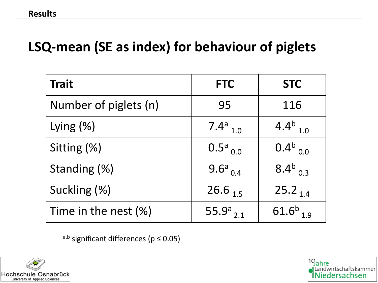# **LSQ-mean (SE as index) for behaviour of piglets**

| <b>Trait</b>          | <b>FTC</b>                | <b>STC</b>                |
|-----------------------|---------------------------|---------------------------|
| Number of piglets (n) | 95                        | 116                       |
| Lying $(\%)$          | 7.4 $^{a}$ <sub>1.0</sub> | 4.4 $^{b}$ <sub>1.0</sub> |
| Sitting (%)           | $0.5^a$ <sub>0.0</sub>    | $0.4^{b}$ <sub>0.0</sub>  |
| Standing (%)          | 9.6 $^{a}$ <sub>0.4</sub> | 8.4 $^{b}$ <sub>0.3</sub> |
| Suckling (%)          | $26.6_{15}$               | $25.2_{1.4}$              |
| Time in the nest (%)  | 55.9 $a_{2,1}$            | 61.6 $^{b}$ <sub>19</sub> |

a,b significant differences ( $p \le 0.05$ )